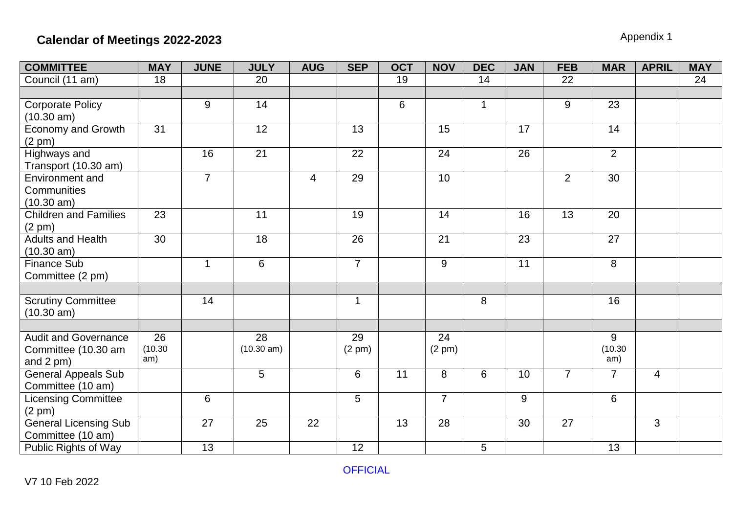| <b>COMMITTEE</b>             | <b>MAY</b>      | <b>JUNE</b>    | <b>JULY</b>     | <b>AUG</b>     | <b>SEP</b>       | <b>OCT</b> | <b>NOV</b>     | <b>DEC</b>   | <b>JAN</b> | <b>FEB</b>     | <b>MAR</b>     | <b>APRIL</b>   | <b>MAY</b> |
|------------------------------|-----------------|----------------|-----------------|----------------|------------------|------------|----------------|--------------|------------|----------------|----------------|----------------|------------|
| Council (11 am)              | 18              |                | 20              |                |                  | 19         |                | 14           |            | 22             |                |                | 24         |
|                              |                 |                |                 |                |                  |            |                |              |            |                |                |                |            |
| <b>Corporate Policy</b>      |                 | 9              | 14              |                |                  | 6          |                | $\mathbf{1}$ |            | 9              | 23             |                |            |
| (10.30 am)                   |                 |                |                 |                |                  |            |                |              |            |                |                |                |            |
| <b>Economy and Growth</b>    | $\overline{31}$ |                | $\overline{12}$ |                | 13               |            | 15             |              | 17         |                | 14             |                |            |
| $(2 \text{ pm})$             |                 |                |                 |                |                  |            |                |              |            |                |                |                |            |
| <b>Highways and</b>          |                 | 16             | $\overline{21}$ |                | $\overline{22}$  |            | 24             |              | 26         |                | $\overline{2}$ |                |            |
| Transport (10.30 am)         |                 |                |                 |                |                  |            |                |              |            |                |                |                |            |
| Environment and              |                 | $\overline{7}$ |                 | $\overline{4}$ | 29               |            | 10             |              |            | 2              | 30             |                |            |
| Communities                  |                 |                |                 |                |                  |            |                |              |            |                |                |                |            |
| (10.30 am)                   |                 |                |                 |                |                  |            |                |              |            |                |                |                |            |
| <b>Children and Families</b> | 23              |                | 11              |                | 19               |            | 14             |              | 16         | 13             | 20             |                |            |
| (2 pm)                       |                 |                |                 |                |                  |            |                |              |            |                |                |                |            |
| <b>Adults and Health</b>     | 30              |                | 18              |                | 26               |            | 21             |              | 23         |                | 27             |                |            |
| (10.30 am)                   |                 |                |                 |                |                  |            |                |              |            |                |                |                |            |
| <b>Finance Sub</b>           |                 | $\mathbf{1}$   | 6               |                | $\overline{7}$   |            | 9              |              | 11         |                | 8              |                |            |
| Committee (2 pm)             |                 |                |                 |                |                  |            |                |              |            |                |                |                |            |
|                              |                 |                |                 |                |                  |            |                |              |            |                |                |                |            |
| <b>Scrutiny Committee</b>    |                 | 14             |                 |                | $\mathbf{1}$     |            |                | 8            |            |                | 16             |                |            |
| (10.30 am)                   |                 |                |                 |                |                  |            |                |              |            |                |                |                |            |
| <b>Audit and Governance</b>  | $\overline{26}$ |                | 28              |                | 29               |            | 24             |              |            |                | 9              |                |            |
| Committee (10.30 am          | (10.30)         |                | (10.30 am)      |                | $(2 \text{ pm})$ |            | (2 pm)         |              |            |                | (10.30)        |                |            |
| and $2$ pm $)$               | am)             |                |                 |                |                  |            |                |              |            |                | am)            |                |            |
| <b>General Appeals Sub</b>   |                 |                | $\overline{5}$  |                | 6                | 11         | 8              | 6            | 10         | $\overline{7}$ | $\overline{7}$ | $\overline{4}$ |            |
| Committee (10 am)            |                 |                |                 |                |                  |            |                |              |            |                |                |                |            |
| <b>Licensing Committee</b>   |                 | 6              |                 |                | 5                |            | $\overline{7}$ |              | 9          |                | 6              |                |            |
| (2 pm)                       |                 |                |                 |                |                  |            |                |              |            |                |                |                |            |
| <b>General Licensing Sub</b> |                 | 27             | 25              | 22             |                  | 13         | 28             |              | 30         | 27             |                | 3              |            |
| Committee (10 am)            |                 |                |                 |                |                  |            |                |              |            |                |                |                |            |
| Public Rights of Way         |                 | 13             |                 |                | 12               |            |                | 5            |            |                | 13             |                |            |

**OFFICIAL**